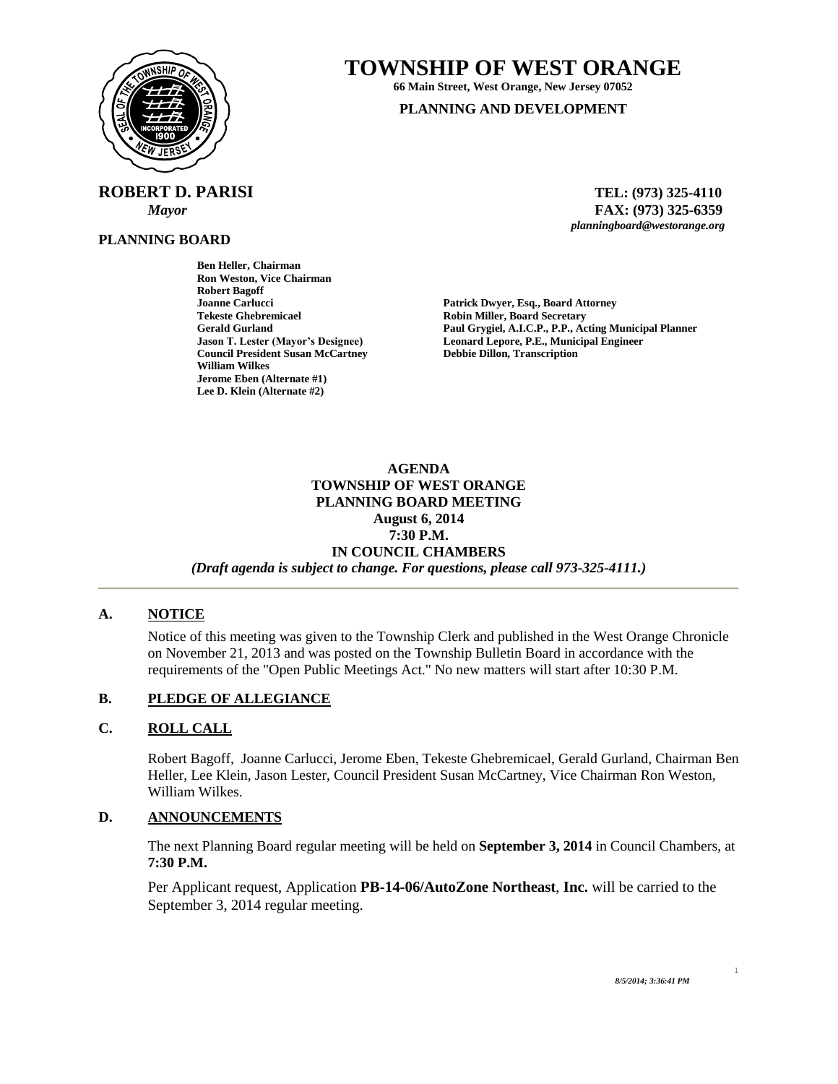

# **TOWNSHIP OF WEST ORANGE**

**66 Main Street, West Orange, New Jersey 07052**

#### **PLANNING AND DEVELOPMENT**

 **ROBERT D. PARISI TEL: (973) 325-4110**

 *Mayor* **FAX: (973) 325-6359** *planningboard@westorange.org*

## **PLANNING BOARD**

**Ben Heller, Chairman Ron Weston, Vice Chairman Robert Bagoff Joanne Carlucci Patrick Dwyer, Esq., Board Attorney Council President Susan McCartney Debbie Dillon, Transcription William Wilkes Jerome Eben (Alternate #1) Lee D. Klein (Alternate #2)**

**Robin Miller, Board Secretary Gerald Gurland Paul Grygiel, A.I.C.P., P.P., Acting Municipal Planner** Leonard Lepore, P.E., Municipal Engineer

#### **AGENDA TOWNSHIP OF WEST ORANGE PLANNING BOARD MEETING August 6, 2014 7:30 P.M. IN COUNCIL CHAMBERS** *(Draft agenda is subject to change. For questions, please call 973-325-4111.)*

#### **A. NOTICE**

Notice of this meeting was given to the Township Clerk and published in the West Orange Chronicle on November 21, 2013 and was posted on the Township Bulletin Board in accordance with the requirements of the "Open Public Meetings Act." No new matters will start after 10:30 P.M.

#### **B. PLEDGE OF ALLEGIANCE**

#### **C. ROLL CALL**

Robert Bagoff, Joanne Carlucci, Jerome Eben, Tekeste Ghebremicael, Gerald Gurland, Chairman Ben Heller, Lee Klein, Jason Lester, Council President Susan McCartney, Vice Chairman Ron Weston, William Wilkes.

#### **D. ANNOUNCEMENTS**

The next Planning Board regular meeting will be held on **September 3, 2014** in Council Chambers, at **7:30 P.M.**

Per Applicant request, Application **PB-14-06/AutoZone Northeast**, **Inc.** will be carried to the September 3, 2014 regular meeting.